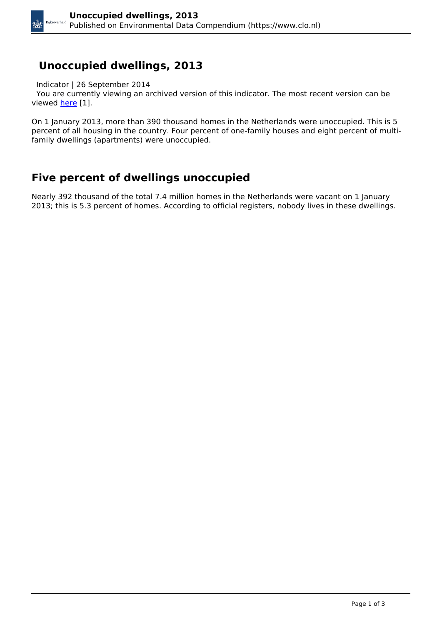## **Unoccupied dwellings, 2013**

Indicator | 26 September 2014

 You are currently viewing an archived version of this indicator. The most recent version can be viewed [here](https://www.clo.nl/en/indicatoren/en2165) [1].

On 1 January 2013, more than 390 thousand homes in the Netherlands were unoccupied. This is 5 percent of all housing in the country. Four percent of one-family houses and eight percent of multifamily dwellings (apartments) were unoccupied.

## **Five percent of dwellings unoccupied**

Nearly 392 thousand of the total 7.4 million homes in the Netherlands were vacant on 1 January 2013; this is 5.3 percent of homes. According to official registers, nobody lives in these dwellings.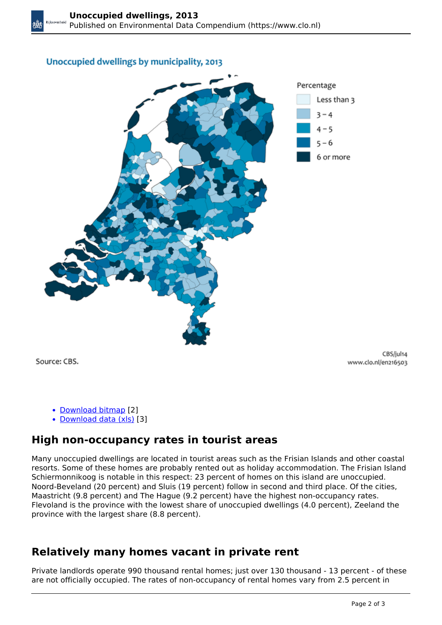#### Unoccupied dwellings by municipality, 2013



Source: CBS.

CBS/jul14 www.clo.nl/en216503

- [Download bitmap](https://www.clo.nl/sites/default/files/infographics/2165_002k_clo_03_en.png) [2]
- [Download data \(xls\)](https://www.clo.nl/sites/default/files/datasets/c-2165-002k-clo-03-en.xls) [3]

### **High non-occupancy rates in tourist areas**

Many unoccupied dwellings are located in tourist areas such as the Frisian Islands and other coastal resorts. Some of these homes are probably rented out as holiday accommodation. The Frisian Island Schiermonnikoog is notable in this respect: 23 percent of homes on this island are unoccupied. Noord-Beveland (20 percent) and Sluis (19 percent) follow in second and third place. Of the cities, Maastricht (9.8 percent) and The Hague (9.2 percent) have the highest non-occupancy rates. Flevoland is the province with the lowest share of unoccupied dwellings (4.0 percent), Zeeland the province with the largest share (8.8 percent).

#### **Relatively many homes vacant in private rent**

Private landlords operate 990 thousand rental homes; just over 130 thousand - 13 percent - of these are not officially occupied. The rates of non-occupancy of rental homes vary from 2.5 percent in